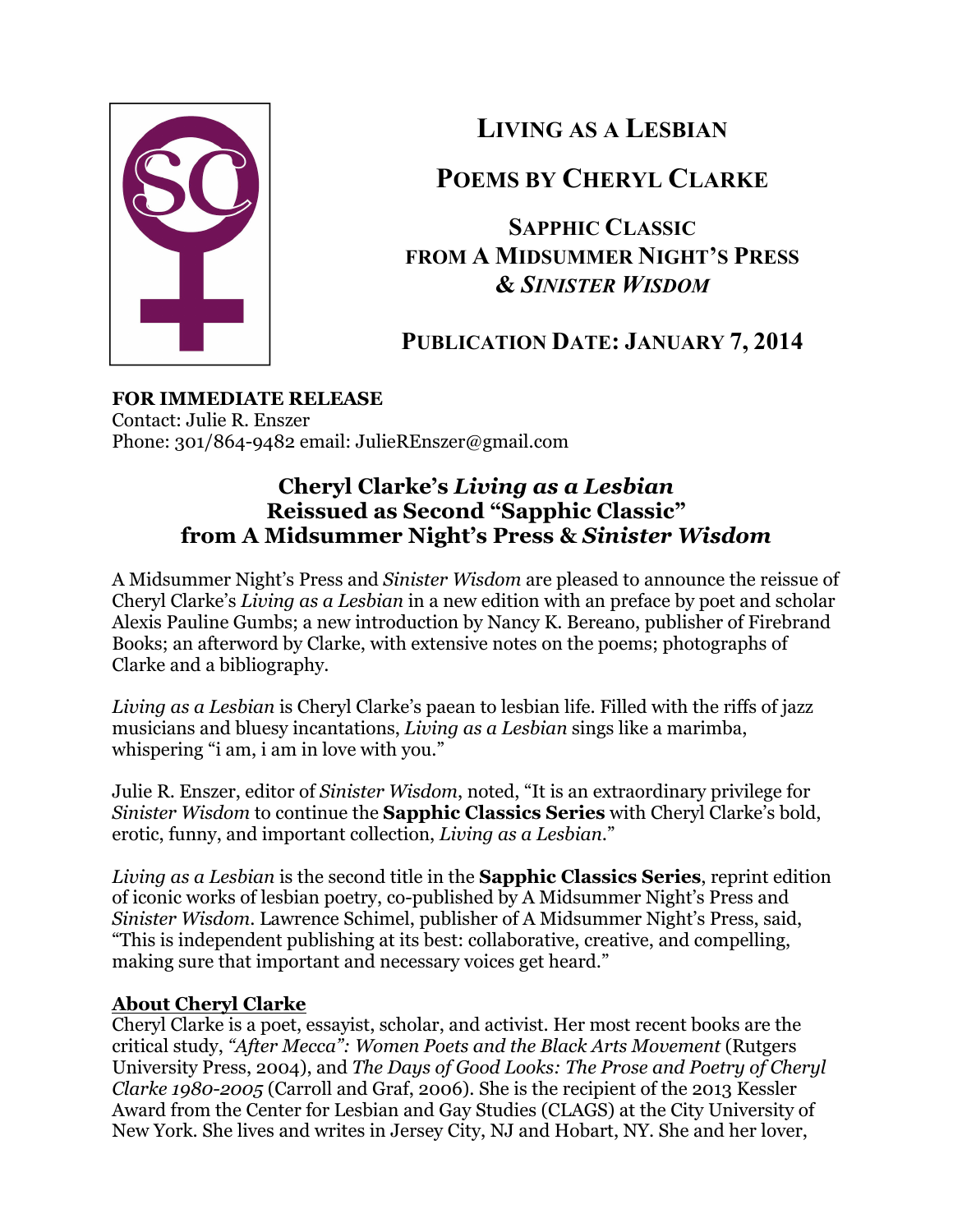

**LIVING AS A LESBIAN**

## **POEMS BY CHERYL CLARKE**

**SAPPHIC CLASSIC FROM A MIDSUMMER NIGHT'S PRESS &** *SINISTER WISDOM*

# **PUBLICATION DATE: JANUARY 7, 2014**

## **FOR IMMEDIATE RELEASE**

Contact: Julie R. Enszer Phone: 301/864-9482 email: JulieREnszer@gmail.com

## **Cheryl Clarke's** *Living as a Lesbian* **Reissued as Second "Sapphic Classic" from A Midsummer Night's Press &** *Sinister Wisdom*

A Midsummer Night's Press and *Sinister Wisdom* are pleased to announce the reissue of Cheryl Clarke's *Living as a Lesbian* in a new edition with an preface by poet and scholar Alexis Pauline Gumbs; a new introduction by Nancy K. Bereano, publisher of Firebrand Books; an afterword by Clarke, with extensive notes on the poems; photographs of Clarke and a bibliography.

*Living as a Lesbian* is Cheryl Clarke's paean to lesbian life. Filled with the riffs of jazz musicians and bluesy incantations, *Living as a Lesbian* sings like a marimba, whispering "i am, i am in love with you."

Julie R. Enszer, editor of *Sinister Wisdom*, noted, "It is an extraordinary privilege for *Sinister Wisdom* to continue the **Sapphic Classics Series** with Cheryl Clarke's bold, erotic, funny, and important collection, *Living as a Lesbian*."

*Living as a Lesbian* is the second title in the **Sapphic Classics Series**, reprint edition of iconic works of lesbian poetry, co-published by A Midsummer Night's Press and *Sinister Wisdom*. Lawrence Schimel, publisher of A Midsummer Night's Press, said, "This is independent publishing at its best: collaborative, creative, and compelling, making sure that important and necessary voices get heard."

### **About Cheryl Clarke**

Cheryl Clarke is a poet, essayist, scholar, and activist. Her most recent books are the critical study, *"After Mecca": Women Poets and the Black Arts Movement* (Rutgers University Press, 2004), and *The Days of Good Looks: The Prose and Poetry of Cheryl Clarke 1980-2005* (Carroll and Graf, 2006). She is the recipient of the 2013 Kessler Award from the Center for Lesbian and Gay Studies (CLAGS) at the City University of New York. She lives and writes in Jersey City, NJ and Hobart, NY. She and her lover,